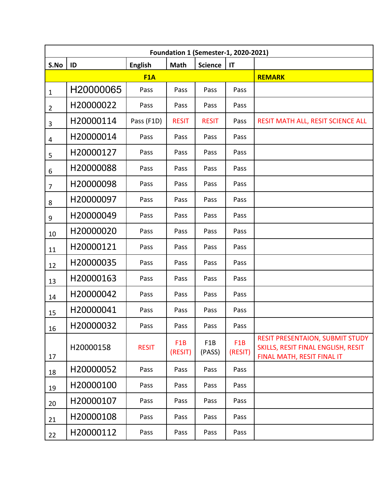| <b>Foundation 1 (Semester-1, 2020-2021)</b> |           |                |                             |                            |                             |                                                                                                            |
|---------------------------------------------|-----------|----------------|-----------------------------|----------------------------|-----------------------------|------------------------------------------------------------------------------------------------------------|
| S.No                                        | ID        | <b>English</b> | <b>Math</b>                 | <b>Science</b>             | $\mathsf{I}\mathsf{T}$      |                                                                                                            |
|                                             |           | F1A            |                             |                            |                             | <b>REMARK</b>                                                                                              |
| $\mathbf{1}$                                | H20000065 | Pass           | Pass                        | Pass                       | Pass                        |                                                                                                            |
| $\overline{2}$                              | H20000022 | Pass           | Pass                        | Pass                       | Pass                        |                                                                                                            |
| 3                                           | H20000114 | Pass (F1D)     | <b>RESIT</b>                | <b>RESIT</b>               | Pass                        | RESIT MATH ALL, RESIT SCIENCE ALL                                                                          |
| 4                                           | H20000014 | Pass           | Pass                        | Pass                       | Pass                        |                                                                                                            |
| 5                                           | H20000127 | Pass           | Pass                        | Pass                       | Pass                        |                                                                                                            |
| 6                                           | H20000088 | Pass           | Pass                        | Pass                       | Pass                        |                                                                                                            |
| $\overline{7}$                              | H20000098 | Pass           | Pass                        | Pass                       | Pass                        |                                                                                                            |
| 8                                           | H20000097 | Pass           | Pass                        | Pass                       | Pass                        |                                                                                                            |
| 9                                           | H20000049 | Pass           | Pass                        | Pass                       | Pass                        |                                                                                                            |
| 10                                          | H20000020 | Pass           | Pass                        | Pass                       | Pass                        |                                                                                                            |
| 11                                          | H20000121 | Pass           | Pass                        | Pass                       | Pass                        |                                                                                                            |
| 12                                          | H20000035 | Pass           | Pass                        | Pass                       | Pass                        |                                                                                                            |
| 13                                          | H20000163 | Pass           | Pass                        | Pass                       | Pass                        |                                                                                                            |
| 14                                          | H20000042 | Pass           | Pass                        | Pass                       | Pass                        |                                                                                                            |
| 15                                          | H20000041 | Pass           | Pass                        | Pass                       | Pass                        |                                                                                                            |
| 16                                          | H20000032 | Pass           | Pass                        | Pass                       | Pass                        |                                                                                                            |
| 17                                          | H20000158 | <b>RESIT</b>   | F <sub>1</sub> B<br>(RESIT) | F <sub>1</sub> B<br>(PASS) | F <sub>1</sub> B<br>(RESIT) | <b>RESIT PRESENTAION, SUBMIT STUDY</b><br>SKILLS, RESIT FINAL ENGLISH, RESIT<br>FINAL MATH, RESIT FINAL IT |
| 18                                          | H20000052 | Pass           | Pass                        | Pass                       | Pass                        |                                                                                                            |
| 19                                          | H20000100 | Pass           | Pass                        | Pass                       | Pass                        |                                                                                                            |
| 20                                          | H20000107 | Pass           | Pass                        | Pass                       | Pass                        |                                                                                                            |
| 21                                          | H20000108 | Pass           | Pass                        | Pass                       | Pass                        |                                                                                                            |
| 22                                          | H20000112 | Pass           | Pass                        | Pass                       | Pass                        |                                                                                                            |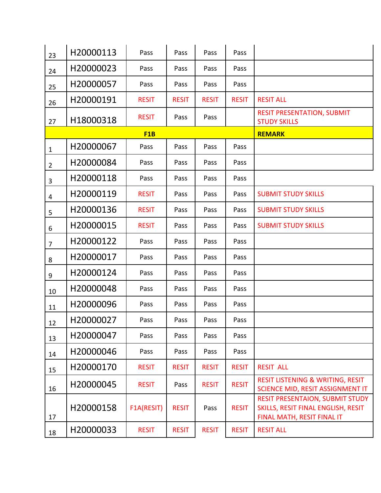| 23                      | H20000113 | Pass         | Pass         | Pass         | Pass         |                                                                                                            |
|-------------------------|-----------|--------------|--------------|--------------|--------------|------------------------------------------------------------------------------------------------------------|
| 24                      | H20000023 | Pass         | Pass         | Pass         | Pass         |                                                                                                            |
| 25                      | H20000057 | Pass         | Pass         | Pass         | Pass         |                                                                                                            |
| 26                      | H20000191 | <b>RESIT</b> | <b>RESIT</b> | <b>RESIT</b> | <b>RESIT</b> | <b>RESIT ALL</b>                                                                                           |
| 27                      | H18000318 | <b>RESIT</b> | Pass         | Pass         |              | <b>RESIT PRESENTATION, SUBMIT</b><br><b>STUDY SKILLS</b>                                                   |
|                         |           | F1B          |              |              |              | <b>REMARK</b>                                                                                              |
| $\mathbf{1}$            | H20000067 | Pass         | Pass         | Pass         | Pass         |                                                                                                            |
| $\overline{2}$          | H20000084 | Pass         | Pass         | Pass         | Pass         |                                                                                                            |
| 3                       | H20000118 | Pass         | Pass         | Pass         | Pass         |                                                                                                            |
| $\overline{\mathbf{4}}$ | H20000119 | <b>RESIT</b> | Pass         | Pass         | Pass         | <b>SUBMIT STUDY SKILLS</b>                                                                                 |
| 5                       | H20000136 | <b>RESIT</b> | Pass         | Pass         | Pass         | <b>SUBMIT STUDY SKILLS</b>                                                                                 |
| 6                       | H20000015 | <b>RESIT</b> | Pass         | Pass         | Pass         | <b>SUBMIT STUDY SKILLS</b>                                                                                 |
| $\overline{7}$          | H20000122 | Pass         | Pass         | Pass         | Pass         |                                                                                                            |
| 8                       | H20000017 | Pass         | Pass         | Pass         | Pass         |                                                                                                            |
| $\boldsymbol{9}$        | H20000124 | Pass         | Pass         | Pass         | Pass         |                                                                                                            |
| 10                      | H20000048 | Pass         | Pass         | Pass         | Pass         |                                                                                                            |
| 11                      | H20000096 | Pass         | Pass         | Pass         | Pass         |                                                                                                            |
| 12                      | H20000027 | Pass         | Pass         | Pass         | Pass         |                                                                                                            |
| 13                      | H20000047 | Pass         | Pass         | Pass         | Pass         |                                                                                                            |
| 14                      | H20000046 | Pass         | Pass         | Pass         | Pass         |                                                                                                            |
| 15                      | H20000170 | <b>RESIT</b> | <b>RESIT</b> | <b>RESIT</b> | <b>RESIT</b> | <b>RESIT ALL</b>                                                                                           |
| 16                      | H20000045 | <b>RESIT</b> | Pass         | <b>RESIT</b> | <b>RESIT</b> | <b>RESIT LISTENING &amp; WRITING, RESIT</b><br>SCIENCE MID, RESIT ASSIGNMENT IT                            |
| 17                      | H20000158 | F1A(RESIT)   | <b>RESIT</b> | Pass         | <b>RESIT</b> | <b>RESIT PRESENTAION, SUBMIT STUDY</b><br>SKILLS, RESIT FINAL ENGLISH, RESIT<br>FINAL MATH, RESIT FINAL IT |
| 18                      | H20000033 | <b>RESIT</b> | <b>RESIT</b> | <b>RESIT</b> | <b>RESIT</b> | <b>RESIT ALL</b>                                                                                           |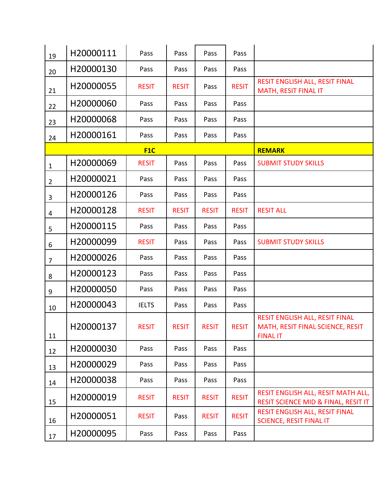| 19             | H20000111 | Pass         | Pass         | Pass         | Pass         |                                                                                       |
|----------------|-----------|--------------|--------------|--------------|--------------|---------------------------------------------------------------------------------------|
| 20             | H20000130 | Pass         | Pass         | Pass         | Pass         |                                                                                       |
| 21             | H20000055 | <b>RESIT</b> | <b>RESIT</b> | Pass         | <b>RESIT</b> | RESIT ENGLISH ALL, RESIT FINAL<br>MATH, RESIT FINAL IT                                |
| 22             | H20000060 | Pass         | Pass         | Pass         | Pass         |                                                                                       |
| 23             | H20000068 | Pass         | Pass         | Pass         | Pass         |                                                                                       |
| 24             | H20000161 | Pass         | Pass         | Pass         | Pass         |                                                                                       |
|                |           | F1C          |              |              |              | <b>REMARK</b>                                                                         |
| $\mathbf 1$    | H20000069 | <b>RESIT</b> | Pass         | Pass         | Pass         | <b>SUBMIT STUDY SKILLS</b>                                                            |
| $\overline{2}$ | H20000021 | Pass         | Pass         | Pass         | Pass         |                                                                                       |
| $\overline{3}$ | H20000126 | Pass         | Pass         | Pass         | Pass         |                                                                                       |
| $\overline{4}$ | H20000128 | <b>RESIT</b> | <b>RESIT</b> | <b>RESIT</b> | <b>RESIT</b> | <b>RESIT ALL</b>                                                                      |
| 5              | H20000115 | Pass         | Pass         | Pass         | Pass         |                                                                                       |
| 6              | H20000099 | <b>RESIT</b> | Pass         | Pass         | Pass         | <b>SUBMIT STUDY SKILLS</b>                                                            |
| $\overline{7}$ | H20000026 | Pass         | Pass         | Pass         | Pass         |                                                                                       |
| 8              | H20000123 | Pass         | Pass         | Pass         | Pass         |                                                                                       |
| 9              | H20000050 | Pass         | Pass         | Pass         | Pass         |                                                                                       |
| 10             | H20000043 | <b>IELTS</b> | Pass         | Pass         | Pass         |                                                                                       |
| 11             | H20000137 | <b>RESIT</b> | <b>RESIT</b> | <b>RESIT</b> | <b>RESIT</b> | RESIT ENGLISH ALL, RESIT FINAL<br>MATH, RESIT FINAL SCIENCE, RESIT<br><b>FINAL IT</b> |
| 12             | H20000030 | Pass         | Pass         | Pass         | Pass         |                                                                                       |
| 13             | H20000029 | Pass         | Pass         | Pass         | Pass         |                                                                                       |
| 14             | H20000038 | Pass         | Pass         | Pass         | Pass         |                                                                                       |
| 15             | H20000019 | <b>RESIT</b> | <b>RESIT</b> | <b>RESIT</b> | <b>RESIT</b> | RESIT ENGLISH ALL, RESIT MATH ALL,<br>RESIT SCIENCE MID & FINAL, RESIT IT             |
| 16             | H20000051 | <b>RESIT</b> | Pass         | <b>RESIT</b> | <b>RESIT</b> | RESIT ENGLISH ALL, RESIT FINAL<br><b>SCIENCE, RESIT FINAL IT</b>                      |
| 17             | H20000095 | Pass         | Pass         | Pass         | Pass         |                                                                                       |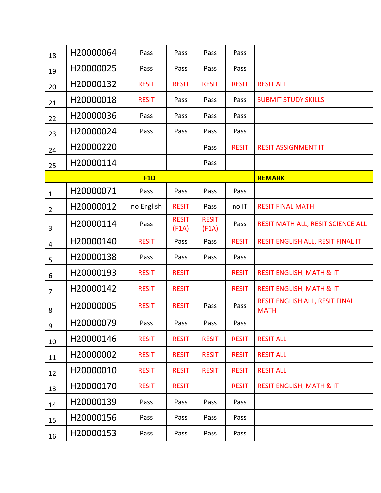| 18             | H20000064 | Pass         | Pass                  | Pass                  | Pass         |                                               |
|----------------|-----------|--------------|-----------------------|-----------------------|--------------|-----------------------------------------------|
| 19             | H20000025 | Pass         | Pass                  | Pass                  | Pass         |                                               |
| 20             | H20000132 | <b>RESIT</b> | <b>RESIT</b>          | <b>RESIT</b>          | <b>RESIT</b> | <b>RESIT ALL</b>                              |
| 21             | H20000018 | <b>RESIT</b> | Pass                  | Pass                  | Pass         | <b>SUBMIT STUDY SKILLS</b>                    |
| 22             | H20000036 | Pass         | Pass                  | Pass                  | Pass         |                                               |
| 23             | H20000024 | Pass         | Pass                  | Pass                  | Pass         |                                               |
| 24             | H20000220 |              |                       | Pass                  | <b>RESIT</b> | <b>RESIT ASSIGNMENT IT</b>                    |
| 25             | H20000114 |              |                       | Pass                  |              |                                               |
|                |           | F1D          |                       |                       |              | <b>REMARK</b>                                 |
| $\mathbf{1}$   | H20000071 | Pass         | Pass                  | Pass                  | Pass         |                                               |
| $\overline{2}$ | H20000012 | no English   | <b>RESIT</b>          | Pass                  | no IT        | <b>RESIT FINAL MATH</b>                       |
| $\overline{3}$ | H20000114 | Pass         | <b>RESIT</b><br>(F1A) | <b>RESIT</b><br>(F1A) | Pass         | RESIT MATH ALL, RESIT SCIENCE ALL             |
| $\overline{4}$ | H20000140 | <b>RESIT</b> | Pass                  | Pass                  | <b>RESIT</b> | RESIT ENGLISH ALL, RESIT FINAL IT             |
| 5              | H20000138 | Pass         | Pass                  | Pass                  | Pass         |                                               |
| 6              | H20000193 | <b>RESIT</b> | <b>RESIT</b>          |                       | <b>RESIT</b> | <b>RESIT ENGLISH, MATH &amp; IT</b>           |
| $\overline{7}$ | H20000142 | <b>RESIT</b> | <b>RESIT</b>          |                       | <b>RESIT</b> | <b>RESIT ENGLISH, MATH &amp; IT</b>           |
| 8              | H20000005 | <b>RESIT</b> | <b>RESIT</b>          | Pass                  | Pass         | RESIT ENGLISH ALL, RESIT FINAL<br><b>MATH</b> |
| 9              | H20000079 | Pass         | Pass                  | Pass                  | Pass         |                                               |
| 10             | H20000146 | <b>RESIT</b> | <b>RESIT</b>          | <b>RESIT</b>          | <b>RESIT</b> | <b>RESIT ALL</b>                              |
| 11             | H20000002 | <b>RESIT</b> | <b>RESIT</b>          | <b>RESIT</b>          | <b>RESIT</b> | <b>RESIT ALL</b>                              |
| 12             | H20000010 | <b>RESIT</b> | <b>RESIT</b>          | <b>RESIT</b>          | <b>RESIT</b> | <b>RESIT ALL</b>                              |
| 13             | H20000170 | <b>RESIT</b> | <b>RESIT</b>          |                       | <b>RESIT</b> | <b>RESIT ENGLISH, MATH &amp; IT</b>           |
| 14             | H20000139 | Pass         | Pass                  | Pass                  | Pass         |                                               |
| 15             | H20000156 | Pass         | Pass                  | Pass                  | Pass         |                                               |
| 16             | H20000153 | Pass         | Pass                  | Pass                  | Pass         |                                               |